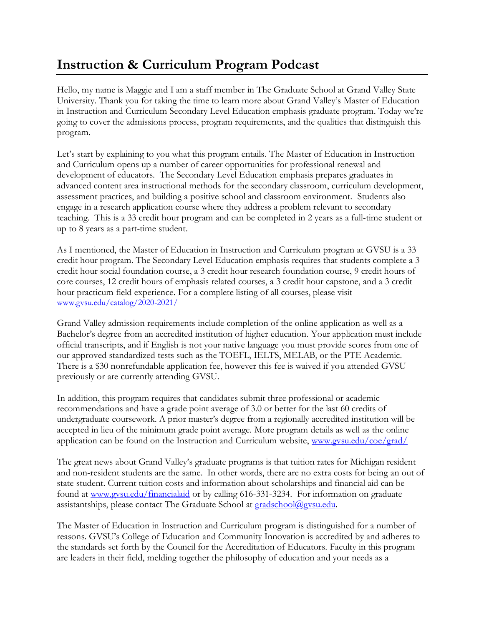## **Instruction & Curriculum Program Podcast**

Hello, my name is Maggie and I am a staff member in The Graduate School at Grand Valley State University. Thank you for taking the time to learn more about Grand Valley's Master of Education in Instruction and Curriculum Secondary Level Education emphasis graduate program. Today we're going to cover the admissions process, program requirements, and the qualities that distinguish this program.

Let's start by explaining to you what this program entails. The Master of Education in Instruction and Curriculum opens up a number of career opportunities for professional renewal and development of educators. The Secondary Level Education emphasis prepares graduates in advanced content area instructional methods for the secondary classroom, curriculum development, assessment practices, and building a positive school and classroom environment. Students also engage in a research application course where they address a problem relevant to secondary teaching. This is a 33 credit hour program and can be completed in 2 years as a full-time student or up to 8 years as a part-time student.

As I mentioned, the Master of Education in Instruction and Curriculum program at GVSU is a 33 credit hour program. The Secondary Level Education emphasis requires that students complete a 3 credit hour social foundation course, a 3 credit hour research foundation course, 9 credit hours of core courses, 12 credit hours of emphasis related courses, a 3 credit hour capstone, and a 3 credit hour practicum field experience. For a complete listing of all courses, please visit [www.gvsu.edu/catalog/2020-2021/](http://www.gvsu.edu/catalog/2020-2021/)

Grand Valley admission requirements include completion of the online application as well as a Bachelor's degree from an accredited institution of higher education. Your application must include official transcripts, and if English is not your native language you must provide scores from one of our approved standardized tests such as the TOEFL, IELTS, MELAB, or the PTE Academic. There is a \$30 nonrefundable application fee, however this fee is waived if you attended GVSU previously or are currently attending GVSU.

In addition, this program requires that candidates submit three professional or academic recommendations and have a grade point average of 3.0 or better for the last 60 credits of undergraduate coursework. A prior master's degree from a regionally accredited institution will be accepted in lieu of the minimum grade point average. More program details as well as the online application can be found on the Instruction and Curriculum website, [www.gvsu.edu/coe/grad/](https://www.gvsu.edu/coe/grad/)

The great news about Grand Valley's graduate programs is that tuition rates for Michigan resident and non-resident students are the same. In other words, there are no extra costs for being an out of state student. Current tuition costs and information about scholarships and financial aid can be found at [www.gvsu.edu/financialaid](http://www.gvsu.edu/financialaid) or by calling 616-331-3234. For information on graduate assistantships, please contact The Graduate School at [gradschool@gvsu.edu.](mailto:gradschool@gvsu.edu)

The Master of Education in Instruction and Curriculum program is distinguished for a number of reasons. GVSU's College of Education and Community Innovation is accredited by and adheres to the standards set forth by the Council for the Accreditation of Educators. Faculty in this program are leaders in their field, melding together the philosophy of education and your needs as a